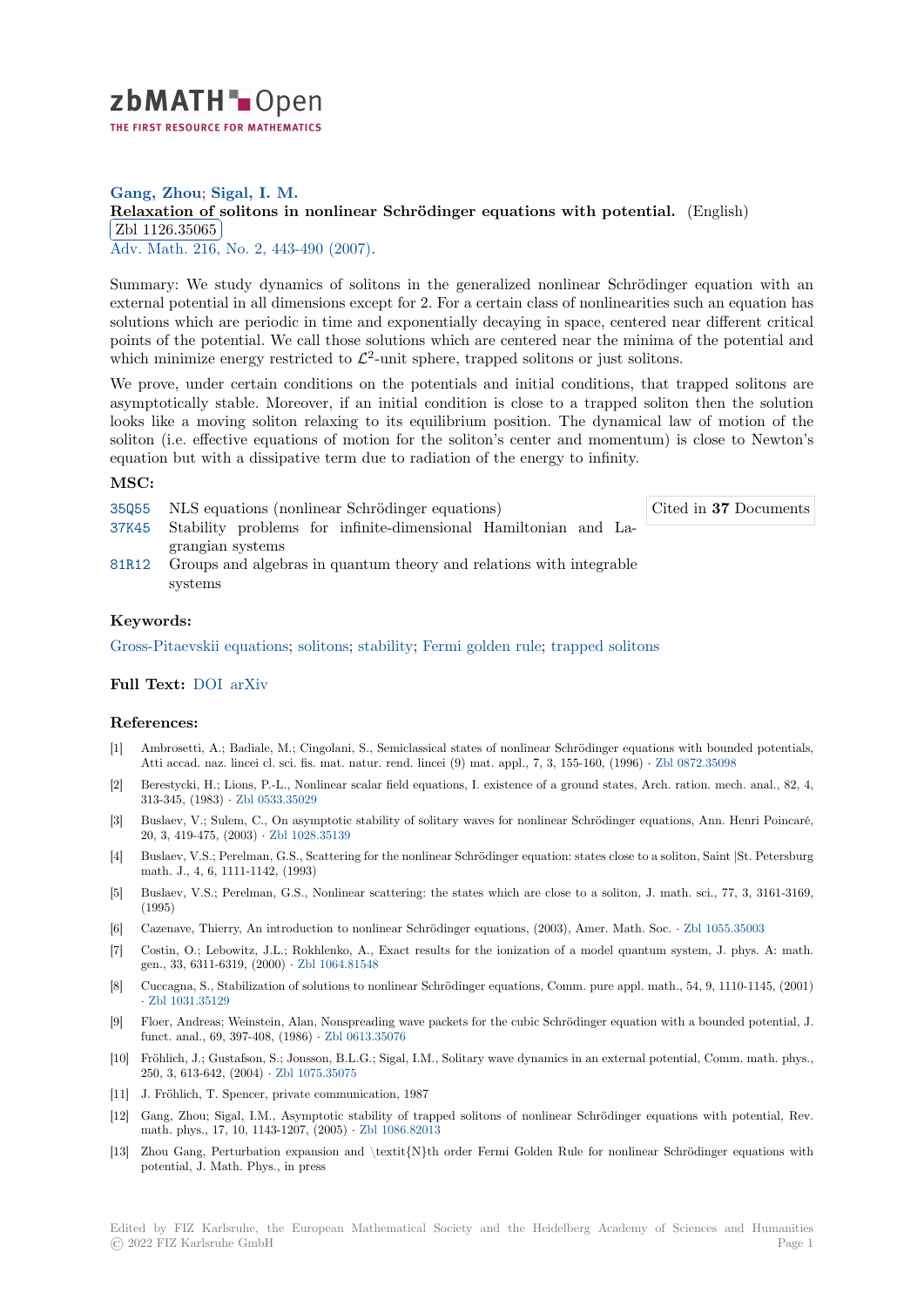

# **Gang, Zhou**; **Sigal, I. M. [R](https://zbmath.org/)elaxation of solitons in nonlinear Schrödinger equations with potential.** (English)  $\frac{264 \text{ H}20.50000}{\text{Adv. Math. 216, No. 2, 443-490 (2007)}}$ Zbl 1126.35065

[Summary: We study dynamics of solitons in the generalized nonlinear Schrödinge](https://zbmath.org/1126.35065)r equation with an [external potential](https://zbmath.org/1126.35065) in all dimensions except for 2. For a certain class of nonlinearities such an equation has [solutions wh](https://zbmath.org/journals/?q=se:290)[ich are periodic in time an](https://zbmath.org/?q=in:212792)d exponentially decaying in space, centered near different critical points of the potential. We call those solutions which are centered near the minima of the potential and which minimize energy restricted to  $\mathcal{L}^2$ -unit sphere, trapped solitons or just solitons.

We prove, under certain conditions on the potentials and initial conditions, that trapped solitons are asymptotically stable. Moreover, if an initial condition is close to a trapped soliton then the solution looks like a moving soliton relaxing to its equilibrium position. The dynamical law of motion of the soliton (i.e. effective equations of motion for the soliton's center and momentum) is close to Newton's equation but with a dissipative term due to radiation of the energy to infinity.

### **MSC:**

35Q55 NLS equations (nonlinear Schrödinger equations)

Cited in **37** Documents

- 37K45 Stability problems for infinite-dimensional Hamiltonian and Lagrangian systems
- 81R12 Groups and algebras in quantum theory and relations with integrable systems

### **[Keyw](https://zbmath.org/classification/?q=cc:37K45)ords:**

[Gross-](https://zbmath.org/classification/?q=cc:81R12)Pitaevskii equations; solitons; stability; Fermi golden rule; trapped solitons

## **Full Text:** DOI arXiv

### **[References:](https://zbmath.org/?q=ut:Gross-Pitaevskii+equations)**

- [1] Ambrosetti, A.; Badiale, M.; Cingolani, S., Semiclassical states of nonlinear Schrödinger equations with bounded potentials, Atti acca[d. naz](https://dx.doi.org/10.1016/j.aim.2007.04.018). [lincei c](https://arxiv.org/abs/math-ph/0603060)l. sci. fis. mat. natur. rend. lincei (9) mat. appl., 7, 3, 155-160, (1996) *·* Zbl 0872.35098
- [2] Berestycki, H.; Lions, P.-L., Nonlinear scalar field equations, I. existence of a ground states, Arch. ration. mech. anal., 82, 4, 313-345, (1983) *·* Zbl 0533.35029
- [3] Buslaev, V.; Sulem, C., On asymptotic stability of solitary waves for nonlinear Schrödinger equations, Ann. Henri Poincaré, 20, 3, 419-475, (2003) *·* Zbl 1028.35139
- [4] Buslaev, V.S.; Perelman, G.S., Scattering for the nonlinear Schrödinger equation: states close to a soliton, Saint |St. Petersburg math. J., 4, 6, 11[11-1142, \(1993\)](https://zbmath.org/0533.35029)
- [5] Buslaev, V.S.; Perelman, G.S., Nonlinear scattering: the states which are close to a soliton, J. math. sci., 77, 3, 3161-3169, (1995)
- [6] Cazenave, Thierry, An introduction to nonlinear Schrödinger equations, (2003), Amer. Math. Soc. *·* Zbl 1055.35003
- [7] Costin, O.; Lebowitz, J.L.; Rokhlenko, A., Exact results for the ionization of a model quantum system, J. phys. A: math. gen., 33, 6311-6319, (2000) *·* Zbl 1064.81548
- [8] Cuccagna, S., Stabilization of solutions to nonlinear Schrödinger equations, Comm. pure appl. math., 54, 9, 1110-1145, (2001) *·* Zbl 1031.35129
- [9] Floer, Andreas; Weinstein, Alan, Nonspreading wave packets for the cubic Schrödinger equation with a bounded potential, J. funct. anal., 69, 397-408, (1986) *·* [Zbl 0613.3](https://zbmath.org/1064.81548)5076
- [10] Fröhlich, J.; Gustafson, S.; Jonsson, B.L.G.; Sigal, I.M., Solitary wave dynamics in an external potential, Comm. math. phys., 2[50, 3, 613-642, \(](https://zbmath.org/1031.35129)2004) *·* Zbl 1075.35075
- [11] J. Fröhlich, T. Spencer, private communication, 1987
- [12] Gang, Zhou; Sigal, I.M., Asympt[otic stability of](https://zbmath.org/0613.35076) trapped solitons of nonlinear Schrödinger equations with potential, Rev. math. phys., 17, 10, 1143-1207, (2005) *·* Zbl 1086.82013
- [13] Zhou Gang, Perturbatio[n expansion an](https://zbmath.org/1075.35075)d \textit{N}th order Fermi Golden Rule for nonlinear Schrödinger equations with potential, J. Math. Phys., in press